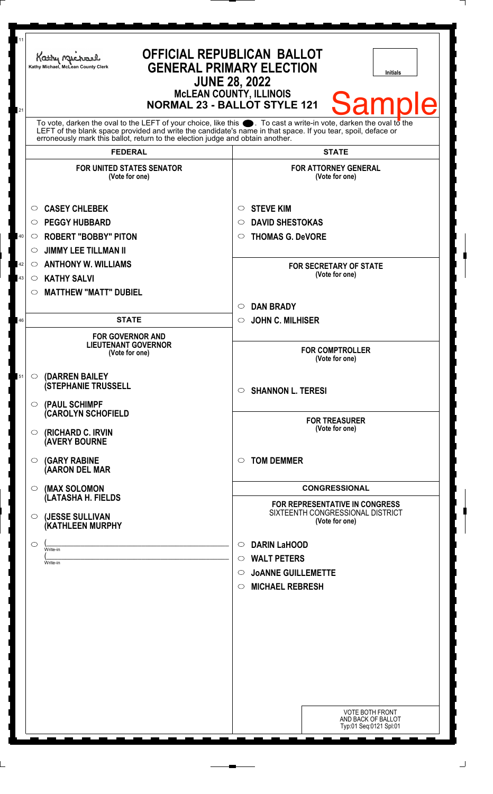| 11<br>21 | Kathy Michael<br>Kathy Michael, McLean County Clerk                                                                                                                                                                                                                                                                          | <b>OFFICIAL REPUBLICAN BALLOT</b><br><b>GENERAL PRIMARY ELECTION</b><br><b>Initials</b><br><b>JUNE 28, 2022</b><br><b>McLEAN COUNTY, ILLINOIS</b><br><b>Sample</b><br><b>NORMAL 23 - BALLOT STYLE 121</b> |
|----------|------------------------------------------------------------------------------------------------------------------------------------------------------------------------------------------------------------------------------------------------------------------------------------------------------------------------------|-----------------------------------------------------------------------------------------------------------------------------------------------------------------------------------------------------------|
|          | To vote, darken the oval to the LEFT of your choice, like this $\bullet$ . To cast a write-in vote, darken the oval to the<br>LEFT of the blank space provided and write the candidate's name in that space. If you tear, spoil, deface or<br>erroneously mark this ballot, return to the election judge and obtain another. |                                                                                                                                                                                                           |
|          | <b>FEDERAL</b>                                                                                                                                                                                                                                                                                                               | <b>STATE</b>                                                                                                                                                                                              |
|          | <b>FOR UNITED STATES SENATOR</b><br>(Vote for one)                                                                                                                                                                                                                                                                           | <b>FOR ATTORNEY GENERAL</b><br>(Vote for one)                                                                                                                                                             |
|          | <b>CASEY CHLEBEK</b><br>O                                                                                                                                                                                                                                                                                                    | <b>STEVE KIM</b><br>O                                                                                                                                                                                     |
|          | <b>PEGGY HUBBARD</b><br>$\circ$                                                                                                                                                                                                                                                                                              | <b>DAVID SHESTOKAS</b><br>◯                                                                                                                                                                               |
| 40       | <b>ROBERT "BOBBY" PITON</b><br>$\circ$                                                                                                                                                                                                                                                                                       | <b>THOMAS G. DeVORE</b><br>O                                                                                                                                                                              |
|          | <b>JIMMY LEE TILLMAN II</b><br>$\circ$                                                                                                                                                                                                                                                                                       |                                                                                                                                                                                                           |
| 42       | <b>ANTHONY W. WILLIAMS</b><br>$\circ$                                                                                                                                                                                                                                                                                        | <b>FOR SECRETARY OF STATE</b>                                                                                                                                                                             |
| 43       | <b>KATHY SALVI</b><br>$\circ$                                                                                                                                                                                                                                                                                                | (Vote for one)                                                                                                                                                                                            |
|          | <b>MATTHEW "MATT" DUBIEL</b><br>$\circ$                                                                                                                                                                                                                                                                                      |                                                                                                                                                                                                           |
|          |                                                                                                                                                                                                                                                                                                                              | <b>DAN BRADY</b><br>$\circ$                                                                                                                                                                               |
| 46       | <b>STATE</b>                                                                                                                                                                                                                                                                                                                 | <b>JOHN C. MILHISER</b><br>$\circ$                                                                                                                                                                        |
|          | <b>FOR GOVERNOR AND</b><br><b>LIEUTENANT GOVERNOR</b><br>(Vote for one)                                                                                                                                                                                                                                                      | <b>FOR COMPTROLLER</b><br>(Vote for one)                                                                                                                                                                  |
| 51       | <b>(DARREN BAILEY)</b><br>$\circ$<br><b>(STEPHANIE TRUSSELL</b>                                                                                                                                                                                                                                                              | <b>SHANNON L. TERESI</b><br>$\circ$                                                                                                                                                                       |
|          | $\circ$ (PAUL SCHIMPF<br><b>CAROLYN SCHOFIELD</b><br>$\circ$ (RICHARD C. IRVIN                                                                                                                                                                                                                                               | <b>FOR TREASURER</b><br>(Vote for one)                                                                                                                                                                    |
|          | <b>AVERY BOURNE</b><br><b>(GARY RABINE</b><br>$\circ$<br>(AARON DEL MAR                                                                                                                                                                                                                                                      | <b>TOM DEMMER</b><br>$\circ$                                                                                                                                                                              |
|          | $\circ$ (MAX SOLOMON                                                                                                                                                                                                                                                                                                         | <b>CONGRESSIONAL</b>                                                                                                                                                                                      |
|          | (LATASHA H. FIELDS                                                                                                                                                                                                                                                                                                           | FOR REPRESENTATIVE IN CONGRESS                                                                                                                                                                            |
|          | (JESSE SULLIVAN<br>$\circ$<br>(KATHLEEN MURPHY                                                                                                                                                                                                                                                                               | SIXTEENTH CONGRESSIONAL DISTRICT<br>(Vote for one)                                                                                                                                                        |
|          | ◯<br>Write-in                                                                                                                                                                                                                                                                                                                | <b>DARIN LaHOOD</b><br>$\circ$                                                                                                                                                                            |
|          | Write-in                                                                                                                                                                                                                                                                                                                     | <b>WALT PETERS</b><br>$\circ$                                                                                                                                                                             |
|          |                                                                                                                                                                                                                                                                                                                              | <b>JOANNE GUILLEMETTE</b><br>$\circ$                                                                                                                                                                      |
|          |                                                                                                                                                                                                                                                                                                                              | <b>MICHAEL REBRESH</b><br>$\circ$                                                                                                                                                                         |
|          |                                                                                                                                                                                                                                                                                                                              |                                                                                                                                                                                                           |
|          |                                                                                                                                                                                                                                                                                                                              |                                                                                                                                                                                                           |
|          |                                                                                                                                                                                                                                                                                                                              |                                                                                                                                                                                                           |
|          |                                                                                                                                                                                                                                                                                                                              |                                                                                                                                                                                                           |
|          |                                                                                                                                                                                                                                                                                                                              |                                                                                                                                                                                                           |
|          |                                                                                                                                                                                                                                                                                                                              |                                                                                                                                                                                                           |
|          |                                                                                                                                                                                                                                                                                                                              |                                                                                                                                                                                                           |
|          |                                                                                                                                                                                                                                                                                                                              | <b>VOTE BOTH FRONT</b><br>AND BACK OF BALLOT<br>Typ:01 Seq:0121 Spl:01                                                                                                                                    |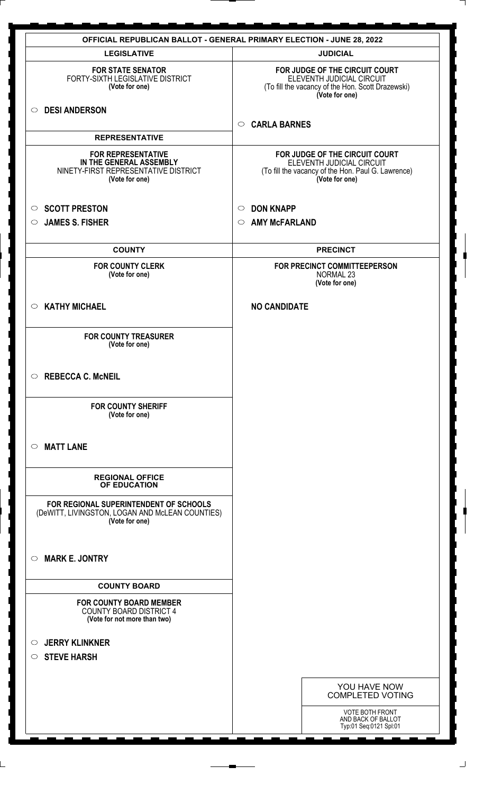| <b>OFFICIAL REPUBLICAN BALLOT - GENERAL PRIMARY ELECTION - JUNE 28, 2022</b>                                   |                                                                                                                                     |
|----------------------------------------------------------------------------------------------------------------|-------------------------------------------------------------------------------------------------------------------------------------|
| <b>LEGISLATIVE</b>                                                                                             | <b>JUDICIAL</b>                                                                                                                     |
| <b>FOR STATE SENATOR</b><br>FORTY-SIXTH LEGISLATIVE DISTRICT<br>(Vote for one)                                 | FOR JUDGE OF THE CIRCUIT COURT<br>ELEVENTH JUDICIAL CIRCUIT<br>(To fill the vacancy of the Hon. Scott Drazewski)<br>(Vote for one)  |
| <b>DESI ANDERSON</b><br>$\circ$                                                                                | <b>CARLA BARNES</b><br>$\circ$                                                                                                      |
| <b>REPRESENTATIVE</b>                                                                                          |                                                                                                                                     |
| <b>FOR REPRESENTATIVE</b><br>IN THE GENERAL ASSEMBLY<br>NINETY-FIRST REPRESENTATIVE DISTRICT<br>(Vote for one) | FOR JUDGE OF THE CIRCUIT COURT<br>ELEVENTH JUDICIAL CIRCUIT<br>(To fill the vacancy of the Hon. Paul G. Lawrence)<br>(Vote for one) |
| <b>SCOTT PRESTON</b><br>$\circ$                                                                                | <b>DON KNAPP</b><br>$\circ$                                                                                                         |
| <b>JAMES S. FISHER</b><br>$\circ$                                                                              | <b>AMY McFARLAND</b><br>$\circ$                                                                                                     |
|                                                                                                                |                                                                                                                                     |
| <b>COUNTY</b>                                                                                                  | <b>PRECINCT</b>                                                                                                                     |
| <b>FOR COUNTY CLERK</b><br>(Vote for one)                                                                      | FOR PRECINCT COMMITTEEPERSON<br>NORMAL 23<br>(Vote for one)                                                                         |
| <b>KATHY MICHAEL</b><br>$\circ$                                                                                | <b>NO CANDIDATE</b>                                                                                                                 |
| <b>FOR COUNTY TREASURER</b><br>(Vote for one)                                                                  |                                                                                                                                     |
| $\circ$<br><b>REBECCA C. McNEIL</b>                                                                            |                                                                                                                                     |
| <b>FOR COUNTY SHERIFF</b><br>(Vote for one)                                                                    |                                                                                                                                     |
| <b>MATT LANE</b><br>$\circ$                                                                                    |                                                                                                                                     |
| <b>REGIONAL OFFICE</b><br>OF EDUCATION                                                                         |                                                                                                                                     |
| FOR REGIONAL SUPERINTENDENT OF SCHOOLS<br>(DeWITT, LIVINGSTON, LOGAN AND McLEAN COUNTIES)<br>(Vote for one)    |                                                                                                                                     |
| <b>MARK E. JONTRY</b><br>$\circ$                                                                               |                                                                                                                                     |
| <b>COUNTY BOARD</b>                                                                                            |                                                                                                                                     |
| <b>FOR COUNTY BOARD MEMBER</b><br><b>COUNTY BOARD DISTRICT 4</b><br>(Vote for not more than two)               |                                                                                                                                     |
| <b>JERRY KLINKNER</b><br>$\circ$                                                                               |                                                                                                                                     |
| <b>STEVE HARSH</b><br>$\circ$                                                                                  |                                                                                                                                     |
|                                                                                                                |                                                                                                                                     |
|                                                                                                                | YOU HAVE NOW<br><b>COMPLETED VOTING</b>                                                                                             |
|                                                                                                                | <b>VOTE BOTH FRONT</b><br>AND BACK OF BALLOT<br>Typ:01 Seq:0121 Spl:01                                                              |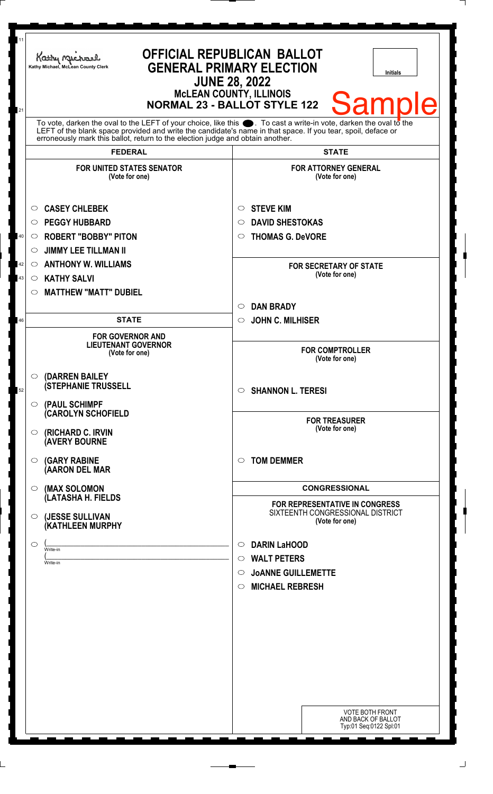| 11             | Kathy My<br>Kathy Michael, McLean County Clerk                                                                                                                                                                                                                                                                               | <b>OFFICIAL REPUBLICAN BALLOT</b><br><b>GENERAL PRIMARY ELECTION</b><br><b>Initials</b><br><b>JUNE 28, 2022</b><br><b>McLEAN COUNTY, ILLINOIS</b>                      |
|----------------|------------------------------------------------------------------------------------------------------------------------------------------------------------------------------------------------------------------------------------------------------------------------------------------------------------------------------|------------------------------------------------------------------------------------------------------------------------------------------------------------------------|
| 21             | To vote, darken the oval to the LEFT of your choice, like this $\bullet$ . To cast a write-in vote, darken the oval to the<br>LEFT of the blank space provided and write the candidate's name in that space. If you tear, spoil, deface or<br>erroneously mark this ballot, return to the election judge and obtain another. | <b>Sample</b><br><b>NORMAL 23 - BALLOT STYLE 122</b>                                                                                                                   |
|                | <b>FEDERAL</b>                                                                                                                                                                                                                                                                                                               | <b>STATE</b>                                                                                                                                                           |
|                | <b>FOR UNITED STATES SENATOR</b><br>(Vote for one)                                                                                                                                                                                                                                                                           | <b>FOR ATTORNEY GENERAL</b><br>(Vote for one)                                                                                                                          |
| 40<br>42<br>43 | <b>CASEY CHLEBEK</b><br>O<br><b>PEGGY HUBBARD</b><br>$\circ$<br><b>ROBERT "BOBBY" PITON</b><br>$\circ$<br><b>JIMMY LEE TILLMAN II</b><br>$\circlearrowright$<br><b>ANTHONY W. WILLIAMS</b><br>$\circ$<br><b>KATHY SALVI</b><br>$\circ$<br><b>MATTHEW "MATT" DUBIEL</b><br>$\circ$                                            | <b>STEVE KIM</b><br>O<br><b>DAVID SHESTOKAS</b><br>◯<br><b>THOMAS G. DeVORE</b><br>O<br><b>FOR SECRETARY OF STATE</b><br>(Vote for one)                                |
|                |                                                                                                                                                                                                                                                                                                                              | <b>DAN BRADY</b><br>$\circ$                                                                                                                                            |
| 46             | <b>STATE</b>                                                                                                                                                                                                                                                                                                                 | <b>JOHN C. MILHISER</b><br>$\circ$                                                                                                                                     |
|                | <b>FOR GOVERNOR AND</b><br><b>LIEUTENANT GOVERNOR</b><br>(Vote for one)                                                                                                                                                                                                                                                      | <b>FOR COMPTROLLER</b><br>(Vote for one)                                                                                                                               |
| 52             | $\circ$ (DARREN BAILEY<br><b>(STEPHANIE TRUSSELL</b><br>$\circ$ (PAUL SCHIMPF                                                                                                                                                                                                                                                | <b>SHANNON L. TERESI</b><br>$\circ$                                                                                                                                    |
|                | <b>(CAROLYN SCHOFIELD</b><br>$\circ$ (RICHARD C. IRVIN<br><b>(AVERY BOURNE</b>                                                                                                                                                                                                                                               | <b>FOR TREASURER</b><br>(Vote for one)                                                                                                                                 |
|                | $\circ$ (GARY RABINE<br>(AARON DEL MAR                                                                                                                                                                                                                                                                                       | <b>TOM DEMMER</b><br>◯                                                                                                                                                 |
|                | (MAX SOLOMON<br>$\circ$                                                                                                                                                                                                                                                                                                      | <b>CONGRESSIONAL</b>                                                                                                                                                   |
|                | (LATASHA H. FIELDS<br>(JESSE SULLIVAN<br>$\circ$<br>(KATHLEEN MURPHY                                                                                                                                                                                                                                                         | <b>FOR REPRESENTATIVE IN CONGRESS</b><br>SIXTEENTH CONGRESSIONAL DISTRICT<br>(Vote for one)                                                                            |
|                | $\circ$<br>Write-in<br>Write-in                                                                                                                                                                                                                                                                                              | <b>DARIN LaHOOD</b><br>$\circ$<br><b>WALT PETERS</b><br>$\circ$<br><b>JOANNE GUILLEMETTE</b><br>$\circ$<br><b>MICHAEL REBRESH</b><br>$\circ$<br><b>VOTE BOTH FRONT</b> |
|                |                                                                                                                                                                                                                                                                                                                              | AND BACK OF BALLOT<br>Typ:01 Seq:0122 Spl:01                                                                                                                           |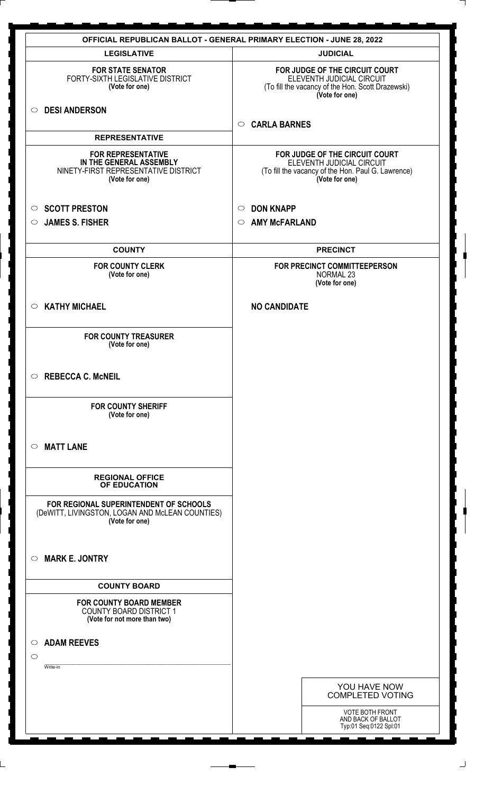| <b>OFFICIAL REPUBLICAN BALLOT - GENERAL PRIMARY ELECTION - JUNE 28, 2022</b>                                   |                                                                                                                                     |
|----------------------------------------------------------------------------------------------------------------|-------------------------------------------------------------------------------------------------------------------------------------|
| <b>LEGISLATIVE</b>                                                                                             | <b>JUDICIAL</b>                                                                                                                     |
| <b>FOR STATE SENATOR</b><br>FORTY-SIXTH LEGISLATIVE DISTRICT<br>(Vote for one)                                 | FOR JUDGE OF THE CIRCUIT COURT<br>ELEVENTH JUDICIAL CIRCUIT<br>(To fill the vacancy of the Hon. Scott Drazewski)<br>(Vote for one)  |
| ○ DESI ANDERSON                                                                                                | <b>CARLA BARNES</b><br>$\circ$                                                                                                      |
| <b>REPRESENTATIVE</b>                                                                                          |                                                                                                                                     |
| <b>FOR REPRESENTATIVE</b><br>IN THE GENERAL ASSEMBLY<br>NINETY-FIRST REPRESENTATIVE DISTRICT<br>(Vote for one) | FOR JUDGE OF THE CIRCUIT COURT<br>ELEVENTH JUDICIAL CIRCUIT<br>(To fill the vacancy of the Hon. Paul G. Lawrence)<br>(Vote for one) |
| <b>SCOTT PRESTON</b><br>$\circ$                                                                                | <b>DON KNAPP</b><br>$\circ$                                                                                                         |
| <b>JAMES S. FISHER</b><br>$\circ$                                                                              | <b>AMY McFARLAND</b><br>$\circ$                                                                                                     |
|                                                                                                                |                                                                                                                                     |
| <b>COUNTY</b>                                                                                                  | <b>PRECINCT</b>                                                                                                                     |
| <b>FOR COUNTY CLERK</b><br>(Vote for one)                                                                      | FOR PRECINCT COMMITTEEPERSON<br><b>NORMAL 23</b><br>(Vote for one)                                                                  |
| <b>KATHY MICHAEL</b><br>$\circ$                                                                                | <b>NO CANDIDATE</b>                                                                                                                 |
| <b>FOR COUNTY TREASURER</b><br>(Vote for one)                                                                  |                                                                                                                                     |
| $\circ$ REBECCA C. McNEIL                                                                                      |                                                                                                                                     |
| <b>FOR COUNTY SHERIFF</b><br>(Vote for one)                                                                    |                                                                                                                                     |
| <b>MATT LANE</b><br>$\circ$                                                                                    |                                                                                                                                     |
| <b>REGIONAL OFFICE</b><br>OF EDUCATION                                                                         |                                                                                                                                     |
| FOR REGIONAL SUPERINTENDENT OF SCHOOLS<br>(DeWITT, LIVINGSTON, LOGAN AND McLEAN COUNTIES)<br>(Vote for one)    |                                                                                                                                     |
| <b>MARK E. JONTRY</b><br>$\circ$                                                                               |                                                                                                                                     |
| <b>COUNTY BOARD</b>                                                                                            |                                                                                                                                     |
| <b>FOR COUNTY BOARD MEMBER</b><br>COUNTY BOARD DISTRICT 1<br>(Vote for not more than two)                      |                                                                                                                                     |
| <b>ADAM REEVES</b><br>$\circ$                                                                                  |                                                                                                                                     |
| $\circ$                                                                                                        |                                                                                                                                     |
| Write-in                                                                                                       |                                                                                                                                     |
|                                                                                                                | YOU HAVE NOW<br><b>COMPLETED VOTING</b>                                                                                             |
|                                                                                                                | <b>VOTE BOTH FRONT</b><br>AND BACK OF BALLOT<br>Typ:01 Seq:0122 Spl:01                                                              |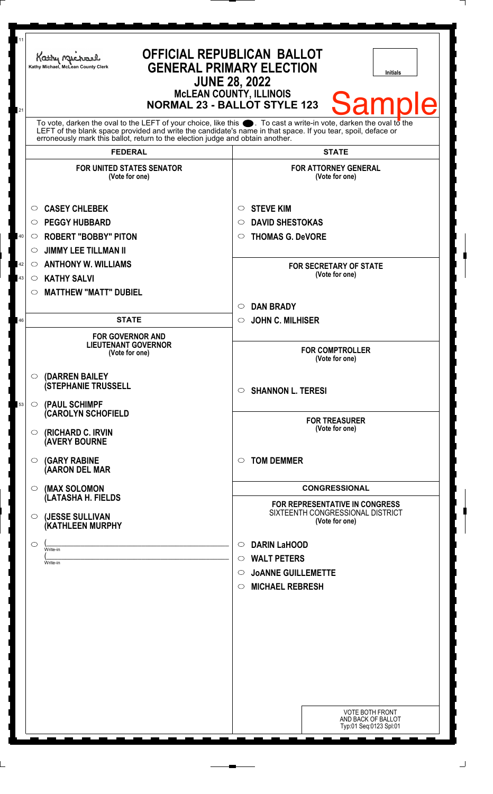| 11<br>21 | Kathy Michael<br>Kathy Michael, McLean County Clerk                                                                                                                                                                                                                                                                       | <b>OFFICIAL REPUBLICAN BALLOT</b><br><b>GENERAL PRIMARY ELECTION</b><br><b>Initials</b><br><b>JUNE 28, 2022</b><br><b>MCLEAN COUNTY, ILLINOIS</b><br><b>Sample</b><br><b>NORMAL 23 - BALLOT STYLE 123</b> |
|----------|---------------------------------------------------------------------------------------------------------------------------------------------------------------------------------------------------------------------------------------------------------------------------------------------------------------------------|-----------------------------------------------------------------------------------------------------------------------------------------------------------------------------------------------------------|
|          | To vote, darken the oval to the LEFT of your choice, like this $\bullet$ . To cast a write-in vote, darken the oval to the<br>LEFT of the blank space provided and write the candidate's name in that space. If you tear, spoil, deface or erroneously mark this ballot, return to the election judge and obtain another. |                                                                                                                                                                                                           |
|          | <b>FEDERAL</b>                                                                                                                                                                                                                                                                                                            | <b>STATE</b>                                                                                                                                                                                              |
|          | <b>FOR UNITED STATES SENATOR</b><br>(Vote for one)                                                                                                                                                                                                                                                                        | <b>FOR ATTORNEY GENERAL</b><br>(Vote for one)                                                                                                                                                             |
|          | <b>CASEY CHLEBEK</b><br>O                                                                                                                                                                                                                                                                                                 | <b>STEVE KIM</b><br>O                                                                                                                                                                                     |
|          | <b>PEGGY HUBBARD</b><br>$\circ$                                                                                                                                                                                                                                                                                           | <b>DAVID SHESTOKAS</b><br>O                                                                                                                                                                               |
| 40       | <b>ROBERT "BOBBY" PITON</b><br>$\circ$                                                                                                                                                                                                                                                                                    | <b>THOMAS G. DeVORE</b><br>$\circ$                                                                                                                                                                        |
|          | <b>JIMMY LEE TILLMAN II</b><br>$\circ$                                                                                                                                                                                                                                                                                    |                                                                                                                                                                                                           |
| 42       | <b>ANTHONY W. WILLIAMS</b><br>$\circ$                                                                                                                                                                                                                                                                                     | <b>FOR SECRETARY OF STATE</b>                                                                                                                                                                             |
| 43       | <b>KATHY SALVI</b><br>$\circ$                                                                                                                                                                                                                                                                                             | (Vote for one)                                                                                                                                                                                            |
|          | <b>MATTHEW "MATT" DUBIEL</b><br>O                                                                                                                                                                                                                                                                                         |                                                                                                                                                                                                           |
|          |                                                                                                                                                                                                                                                                                                                           | <b>DAN BRADY</b><br>$\circ$                                                                                                                                                                               |
| 46       | <b>STATE</b>                                                                                                                                                                                                                                                                                                              | <b>JOHN C. MILHISER</b><br>$\circ$                                                                                                                                                                        |
|          | <b>FOR GOVERNOR AND</b>                                                                                                                                                                                                                                                                                                   |                                                                                                                                                                                                           |
|          | <b>LIEUTENANT GOVERNOR</b><br>(Vote for one)                                                                                                                                                                                                                                                                              | <b>FOR COMPTROLLER</b><br>(Vote for one)                                                                                                                                                                  |
| 53       | $\circ$ (DARREN BAILEY<br><b>(STEPHANIE TRUSSELL</b><br>(PAUL SCHIMPF<br>$\circ$                                                                                                                                                                                                                                          | <b>SHANNON L. TERESI</b><br>$\circ$                                                                                                                                                                       |
|          | (CAROLYN SCHOFIELD<br><b>(RICHARD C. IRVIN</b><br>$\circ$<br><b>(AVERY BOURNE</b>                                                                                                                                                                                                                                         | <b>FOR TREASURER</b><br>(Vote for one)                                                                                                                                                                    |
|          | <b>(GARY RABINE</b><br>$\circ$<br>(AARON DEL MAR                                                                                                                                                                                                                                                                          | <b>TOM DEMMER</b><br>◯                                                                                                                                                                                    |
|          | (MAX SOLOMON<br>$\bigcirc$<br>(LATASHA H. FIELDS                                                                                                                                                                                                                                                                          | <b>CONGRESSIONAL</b><br>FOR REPRESENTATIVE IN CONGRESS                                                                                                                                                    |
|          | (JESSE SULLIVAN<br>$\circ$<br>(KATHLEEN MURPHY                                                                                                                                                                                                                                                                            | SIXTEENTH CONGRESSIONAL DISTRICT<br>(Vote for one)                                                                                                                                                        |
|          | O                                                                                                                                                                                                                                                                                                                         | <b>DARIN LaHOOD</b><br>$\circ$                                                                                                                                                                            |
|          | Write-in                                                                                                                                                                                                                                                                                                                  | <b>WALT PETERS</b><br>$\circ$                                                                                                                                                                             |
|          | Write-in                                                                                                                                                                                                                                                                                                                  | <b>JOANNE GUILLEMETTE</b><br>$\circ$                                                                                                                                                                      |
|          |                                                                                                                                                                                                                                                                                                                           | <b>MICHAEL REBRESH</b><br>$\circ$                                                                                                                                                                         |
|          |                                                                                                                                                                                                                                                                                                                           |                                                                                                                                                                                                           |
|          |                                                                                                                                                                                                                                                                                                                           |                                                                                                                                                                                                           |
|          |                                                                                                                                                                                                                                                                                                                           |                                                                                                                                                                                                           |
|          |                                                                                                                                                                                                                                                                                                                           |                                                                                                                                                                                                           |
|          |                                                                                                                                                                                                                                                                                                                           |                                                                                                                                                                                                           |
|          |                                                                                                                                                                                                                                                                                                                           |                                                                                                                                                                                                           |
|          |                                                                                                                                                                                                                                                                                                                           |                                                                                                                                                                                                           |
|          |                                                                                                                                                                                                                                                                                                                           |                                                                                                                                                                                                           |
|          |                                                                                                                                                                                                                                                                                                                           | <b>VOTE BOTH FRONT</b><br>AND BACK OF BALLOT<br>Typ:01 Seq:0123 Spl:01                                                                                                                                    |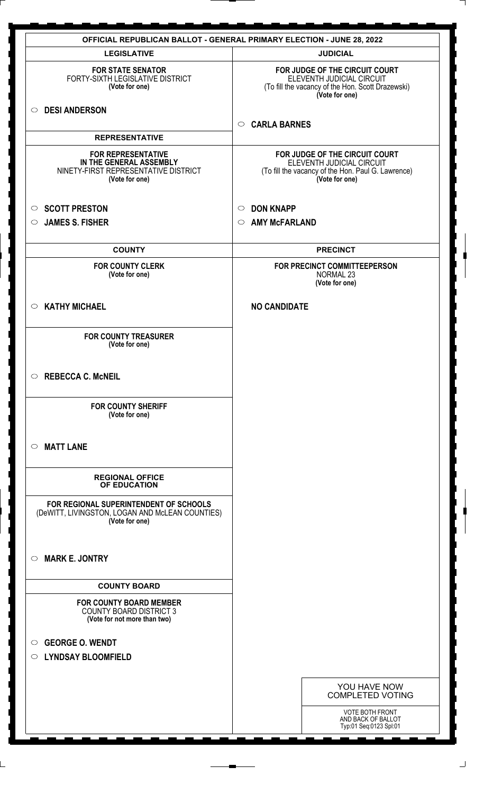| <b>OFFICIAL REPUBLICAN BALLOT - GENERAL PRIMARY ELECTION - JUNE 28, 2022</b>                                   |                                                                                                                                     |  |
|----------------------------------------------------------------------------------------------------------------|-------------------------------------------------------------------------------------------------------------------------------------|--|
| <b>LEGISLATIVE</b>                                                                                             | <b>JUDICIAL</b>                                                                                                                     |  |
| <b>FOR STATE SENATOR</b><br>FORTY-SIXTH LEGISLATIVE DISTRICT<br>(Vote for one)                                 | FOR JUDGE OF THE CIRCUIT COURT<br>ELEVENTH JUDICIAL CIRCUIT<br>(To fill the vacancy of the Hon. Scott Drazewski)<br>(Vote for one)  |  |
| <b>DESI ANDERSON</b><br>$\circ$                                                                                | <b>CARLA BARNES</b><br>$\circ$                                                                                                      |  |
| <b>REPRESENTATIVE</b>                                                                                          |                                                                                                                                     |  |
| <b>FOR REPRESENTATIVE</b><br>IN THE GENERAL ASSEMBLY<br>NINETY-FIRST REPRESENTATIVE DISTRICT<br>(Vote for one) | FOR JUDGE OF THE CIRCUIT COURT<br>ELEVENTH JUDICIAL CIRCUIT<br>(To fill the vacancy of the Hon. Paul G. Lawrence)<br>(Vote for one) |  |
| <b>SCOTT PRESTON</b><br>$\circ$                                                                                | <b>DON KNAPP</b><br>$\circ$                                                                                                         |  |
| <b>JAMES S. FISHER</b><br>$\circ$                                                                              | <b>AMY McFARLAND</b><br>$\circ$                                                                                                     |  |
|                                                                                                                |                                                                                                                                     |  |
| <b>COUNTY</b>                                                                                                  | <b>PRECINCT</b>                                                                                                                     |  |
| <b>FOR COUNTY CLERK</b><br>(Vote for one)                                                                      | FOR PRECINCT COMMITTEEPERSON<br><b>NORMAL 23</b><br>(Vote for one)                                                                  |  |
| <b>KATHY MICHAEL</b><br>$\circ$                                                                                | <b>NO CANDIDATE</b>                                                                                                                 |  |
| <b>FOR COUNTY TREASURER</b><br>(Vote for one)                                                                  |                                                                                                                                     |  |
| $\circ$<br><b>REBECCA C. McNEIL</b>                                                                            |                                                                                                                                     |  |
| <b>FOR COUNTY SHERIFF</b><br>(Vote for one)                                                                    |                                                                                                                                     |  |
| <b>MATT LANE</b><br>$\circ$                                                                                    |                                                                                                                                     |  |
| <b>REGIONAL OFFICE</b><br>OF EDUCATION                                                                         |                                                                                                                                     |  |
| FOR REGIONAL SUPERINTENDENT OF SCHOOLS<br>(DeWITT, LIVINGSTON, LOGAN AND McLEAN COUNTIES)<br>(Vote for one)    |                                                                                                                                     |  |
| <b>MARK E. JONTRY</b><br>$\circ$                                                                               |                                                                                                                                     |  |
| <b>COUNTY BOARD</b>                                                                                            |                                                                                                                                     |  |
| <b>FOR COUNTY BOARD MEMBER</b><br><b>COUNTY BOARD DISTRICT 3</b><br>(Vote for not more than two)               |                                                                                                                                     |  |
| <b>GEORGE O. WENDT</b><br>$\circ$<br><b>LYNDSAY BLOOMFIELD</b><br>$\circ$                                      |                                                                                                                                     |  |
|                                                                                                                | YOU HAVE NOW<br><b>COMPLETED VOTING</b>                                                                                             |  |
|                                                                                                                | <b>VOTE BOTH FRONT</b><br>AND BACK OF BALLOT<br>Typ:01 Seq:0123 Spl:01                                                              |  |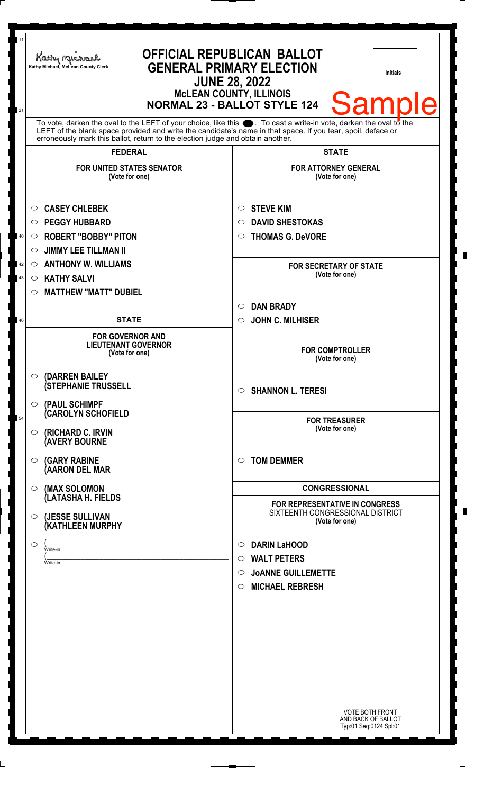| 11<br>21 | Kathy Michael<br>Kathy Michael, McLean County Clerk                                                                                                                                                                                                                                                                | <b>OFFICIAL REPUBLICAN BALLOT</b><br><b>GENERAL PRIMARY ELECTION</b><br><b>Initials</b><br><b>JUNE 28, 2022</b><br><b>McLEAN COUNTY, ILLINOIS</b><br><b>Sample</b><br><b>NORMAL 23 - BALLOT STYLE 124</b> |
|----------|--------------------------------------------------------------------------------------------------------------------------------------------------------------------------------------------------------------------------------------------------------------------------------------------------------------------|-----------------------------------------------------------------------------------------------------------------------------------------------------------------------------------------------------------|
|          | To vote, darken the oval to the LEFT of your choice, like this . To cast a write-in vote, darken the oval to the<br>LEFT of the blank space provided and write the candidate's name in that space. If you tear, spoil, deface or<br>erroneously mark this ballot, return to the election judge and obtain another. |                                                                                                                                                                                                           |
|          | <b>FEDERAL</b>                                                                                                                                                                                                                                                                                                     | <b>STATE</b>                                                                                                                                                                                              |
|          | <b>FOR UNITED STATES SENATOR</b><br>(Vote for one)                                                                                                                                                                                                                                                                 | <b>FOR ATTORNEY GENERAL</b><br>(Vote for one)                                                                                                                                                             |
| 40       | <b>CASEY CHLEBEK</b><br>$\circ$<br><b>PEGGY HUBBARD</b><br>$\circ$<br><b>ROBERT "BOBBY" PITON</b><br>$\circ$<br><b>JIMMY LEE TILLMAN II</b><br>$\circ$                                                                                                                                                             | <b>STEVE KIM</b><br>$\circ$<br><b>DAVID SHESTOKAS</b><br>◯<br><b>THOMAS G. DeVORE</b><br>O                                                                                                                |
| 42<br>43 | <b>ANTHONY W. WILLIAMS</b><br>$\circ$<br><b>KATHY SALVI</b><br>$\circ$<br><b>MATTHEW "MATT" DUBIEL</b><br>$\circ$                                                                                                                                                                                                  | <b>FOR SECRETARY OF STATE</b><br>(Vote for one)                                                                                                                                                           |
|          |                                                                                                                                                                                                                                                                                                                    | <b>DAN BRADY</b><br>$\circ$                                                                                                                                                                               |
| 46       | <b>STATE</b>                                                                                                                                                                                                                                                                                                       | <b>JOHN C. MILHISER</b><br>$\circ$                                                                                                                                                                        |
|          | <b>FOR GOVERNOR AND</b><br><b>LIEUTENANT GOVERNOR</b><br>(Vote for one)                                                                                                                                                                                                                                            | <b>FOR COMPTROLLER</b><br>(Vote for one)                                                                                                                                                                  |
|          | $\circ$ (DARREN BAILEY<br><b>(STEPHANIE TRUSSELL</b><br>$\circ$ (PAUL SCHIMPF                                                                                                                                                                                                                                      | <b>SHANNON L. TERESI</b><br>$\circ$                                                                                                                                                                       |
| 54       | <b>CAROLYN SCHOFIELD</b><br>$\circ$ (RICHARD C. IRVIN<br><b>AVERY BOURNE</b>                                                                                                                                                                                                                                       | <b>FOR TREASURER</b><br>(Vote for one)                                                                                                                                                                    |
|          | <b>(GARY RABINE</b><br>$\circ$<br>(AARON DEL MAR                                                                                                                                                                                                                                                                   | <b>TOM DEMMER</b><br>$\bigcirc$                                                                                                                                                                           |
|          | (MAX SOLOMON<br>$\circ$                                                                                                                                                                                                                                                                                            | <b>CONGRESSIONAL</b>                                                                                                                                                                                      |
|          | (LATASHA H. FIELDS<br>(JESSE SULLIVAN<br>$\circ$<br>(KATHLEEN MURPHY                                                                                                                                                                                                                                               | <b>FOR REPRESENTATIVE IN CONGRESS</b><br>SIXTEENTH CONGRESSIONAL DISTRICT<br>(Vote for one)                                                                                                               |
|          | $\circ$<br>Write-in<br>Write-in                                                                                                                                                                                                                                                                                    | <b>DARIN LaHOOD</b><br>$\circ$<br><b>WALT PETERS</b><br>$\circ$<br><b>JOANNE GUILLEMETTE</b><br>$\circ$<br><b>MICHAEL REBRESH</b><br>$\circ$                                                              |
|          |                                                                                                                                                                                                                                                                                                                    | <b>VOTE BOTH FRONT</b><br>AND BACK OF BALLOT<br>Typ:01 Seq:0124 Spl:01                                                                                                                                    |